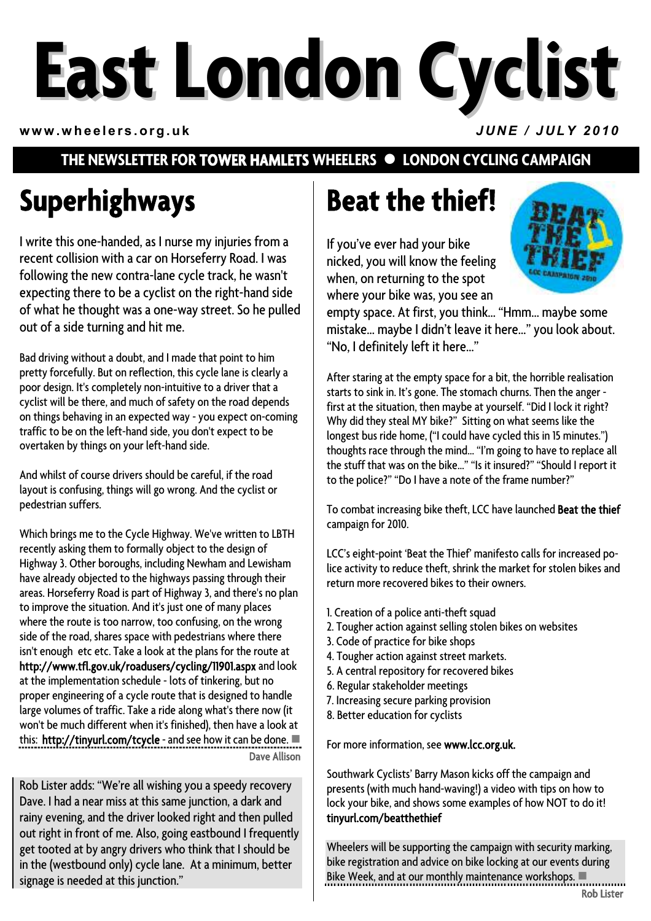# **East London Cyclist**

**www.wheelers.org.uk** *JUNE / JULY 2010*

### **THE NEWSLETTER FOR TOWER HAMLETS WHEELERS**  $\bullet$  **LONDON CYCLING CAMPAIGN**

# **Superhighways**

I write this one-handed, as I nurse my injuries from a recent collision with a car on Horseferry Road. I was following the new contra-lane cycle track, he wasn't expecting there to be a cyclist on the right-hand side of what he thought was a one-way street. So he pulled out of a side turning and hit me.

Bad driving without a doubt, and I made that point to him pretty forcefully. But on reflection, this cycle lane is clearly a poor design. It's completely non-intuitive to a driver that a cyclist will be there, and much of safety on the road depends on things behaving in an expected way - you expect on-coming traffic to be on the left-hand side, you don't expect to be overtaken by things on your left-hand side.

And whilst of course drivers should be careful, if the road layout is confusing, things will go wrong. And the cyclist or pedestrian suffers.

Which brings me to the Cycle Highway. We've written to LBTH recently asking them to formally object to the design of Highway 3. Other boroughs, including Newham and Lewisham have already objected to the highways passing through their areas. Horseferry Road is part of Highway 3, and there's no plan to improve the situation. And it's just one of many places where the route is too narrow, too confusing, on the wrong side of the road, shares space with pedestrians where there isn't enough etc etc. Take a look at the plans for the route at http://www.tfl.gov.uk/roadusers/cycling/11901.aspx and look at the implementation schedule - lots of tinkering, but no proper engineering of a cycle route that is designed to handle large volumes of traffic. Take a ride along what's there now (it won't be much different when it's finished), then have a look at this: http://tinyurl.com/tcycle - and see how it can be done. Dave Allison

Rob Lister adds: "We're all wishing you a speedy recovery Dave. I had a near miss at this same junction, a dark and rainy evening, and the driver looked right and then pulled out right in front of me. Also, going eastbound I frequently get tooted at by angry drivers who think that I should be in the (westbound only) cycle lane. At a minimum, better signage is needed at this junction."

# **Beat the thief!**

If you've ever had your bike nicked, you will know the feeling when, on returning to the spot where your bike was, you see an



empty space. At first, you think… "Hmm… maybe some mistake… maybe I didn't leave it here…" you look about. "No, I definitely left it here…"

After staring at the empty space for a bit, the horrible realisation starts to sink in. It's gone. The stomach churns. Then the anger first at the situation, then maybe at yourself. "Did I lock it right? Why did they steal MY bike?" Sitting on what seems like the longest bus ride home, ("I could have cycled this in 15 minutes.") thoughts race through the mind… "I'm going to have to replace all the stuff that was on the bike…" "Is it insured?" "Should I report it to the police?" "Do I have a note of the frame number?"

To combat increasing bike theft, LCC have launched Beat the thief campaign for 2010.

LCC's eight-point 'Beat the Thief' manifesto calls for increased police activity to reduce theft, shrink the market for stolen bikes and return more recovered bikes to their owners.

- 1. Creation of a police anti-theft squad
- 2. Tougher action against selling stolen bikes on websites
- 3. Code of practice for bike shops
- 4. Tougher action against street markets.
- 5. A central repository for recovered bikes
- 6. Regular stakeholder meetings
- 7. Increasing secure parking provision
- 8. Better education for cyclists

For more information, see www.lcc.org.uk.

Southwark Cyclists' Barry Mason kicks off the campaign and presents (with much hand-waving!) a video with tips on how to lock your bike, and shows some examples of how NOT to do it! tinyurl.com/beatthethief

Wheelers will be supporting the campaign with security marking, bike registration and advice on bike locking at our events during Bike Week, and at our monthly maintenance workshops.  $\blacksquare$ Rob Lister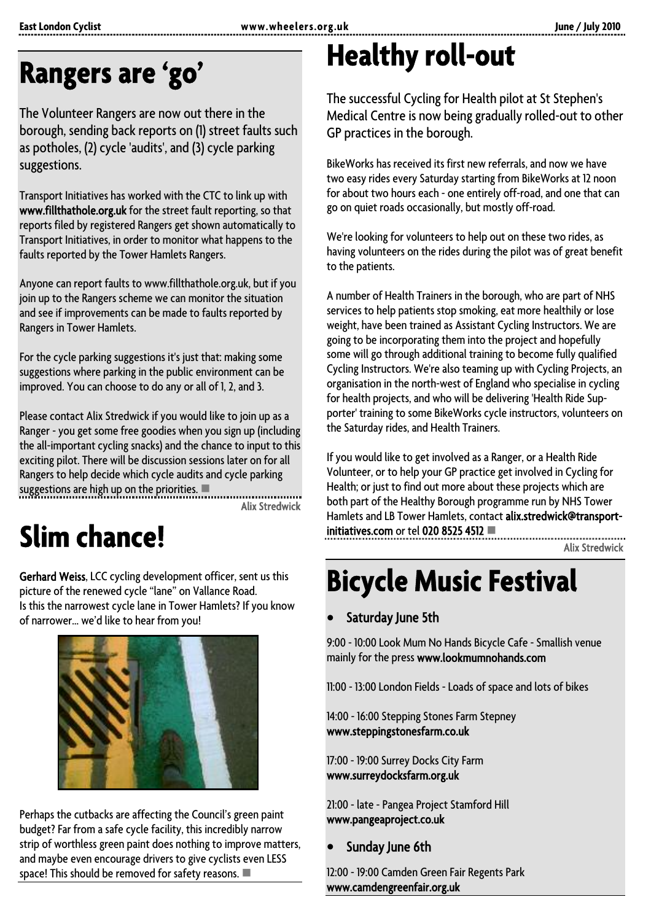# **Rangers are 'go'**

The Volunteer Rangers are now out there in the borough, sending back reports on (1) street faults such as potholes, (2) cycle 'audits', and (3) cycle parking suggestions.

Transport Initiatives has worked with the CTC to link up with www.fillthathole.org.uk for the street fault reporting, so that reports filed by registered Rangers get shown automatically to Transport Initiatives, in order to monitor what happens to the faults reported by the Tower Hamlets Rangers.

Anyone can report faults to www.fillthathole.org.uk, but if you join up to the Rangers scheme we can monitor the situation and see if improvements can be made to faults reported by Rangers in Tower Hamlets.

For the cycle parking suggestions it's just that: making some suggestions where parking in the public environment can be improved. You can choose to do any or all of 1, 2, and 3.

Please contact Alix Stredwick if you would like to join up as a Ranger - you get some free goodies when you sign up (including the all-important cycling snacks) and the chance to input to this exciting pilot. There will be discussion sessions later on for all Rangers to help decide which cycle audits and cycle parking suggestions are high up on the priorities.  $\blacksquare$ 

Alix Stredwick

# **Slim chance!**

Gerhard Weiss, LCC cycling development officer, sent us this picture of the renewed cycle "lane" on Vallance Road. Is this the narrowest cycle lane in Tower Hamlets? If you know of narrower… we'd like to hear from you!



Perhaps the cutbacks are affecting the Council's green paint budget? Far from a safe cycle facility, this incredibly narrow strip of worthless green paint does nothing to improve matters, and maybe even encourage drivers to give cyclists even LESS space! This should be removed for safety reasons.  $\blacksquare$ 

# **Healthy roll-out**

The successful Cycling for Health pilot at St Stephen's Medical Centre is now being gradually rolled-out to other GP practices in the borough.

BikeWorks has received its first new referrals, and now we have two easy rides every Saturday starting from BikeWorks at 12 noon for about two hours each - one entirely off-road, and one that can go on quiet roads occasionally, but mostly off-road.

We're looking for volunteers to help out on these two rides, as having volunteers on the rides during the pilot was of great benefit to the patients.

A number of Health Trainers in the borough, who are part of NHS services to help patients stop smoking, eat more healthily or lose weight, have been trained as Assistant Cycling Instructors. We are going to be incorporating them into the project and hopefully some will go through additional training to become fully qualified Cycling Instructors. We're also teaming up with Cycling Projects, an organisation in the north-west of England who specialise in cycling for health projects, and who will be delivering 'Health Ride Supporter' training to some BikeWorks cycle instructors, volunteers on the Saturday rides, and Health Trainers.

If you would like to get involved as a Ranger, or a Health Ride Volunteer, or to help your GP practice get involved in Cycling for Health; or just to find out more about these projects which are both part of the Healthy Borough programme run by NHS Tower Hamlets and LB Tower Hamlets, contact alix.stredwick@transportinitiatives.com or tel 020 8525 4512  $\blacksquare$ 

Alix Stredwick

# **Bicycle Music Festival**

### Saturday June 5th

9:00 - 10:00 Look Mum No Hands Bicycle Cafe - Smallish venue mainly for the press www.lookmumnohands.com

11:00 - 13:00 London Fields - Loads of space and lots of bikes

14:00 - 16:00 Stepping Stones Farm Stepney www.steppingstonesfarm.co.uk

17:00 - 19:00 Surrey Docks City Farm www.surreydocksfarm.org.uk

21:00 - late - Pangea Project Stamford Hill www.pangeaproject.co.uk

Sunday June 6th

12:00 - 19:00 Camden Green Fair Regents Park www.camdengreenfair.org.uk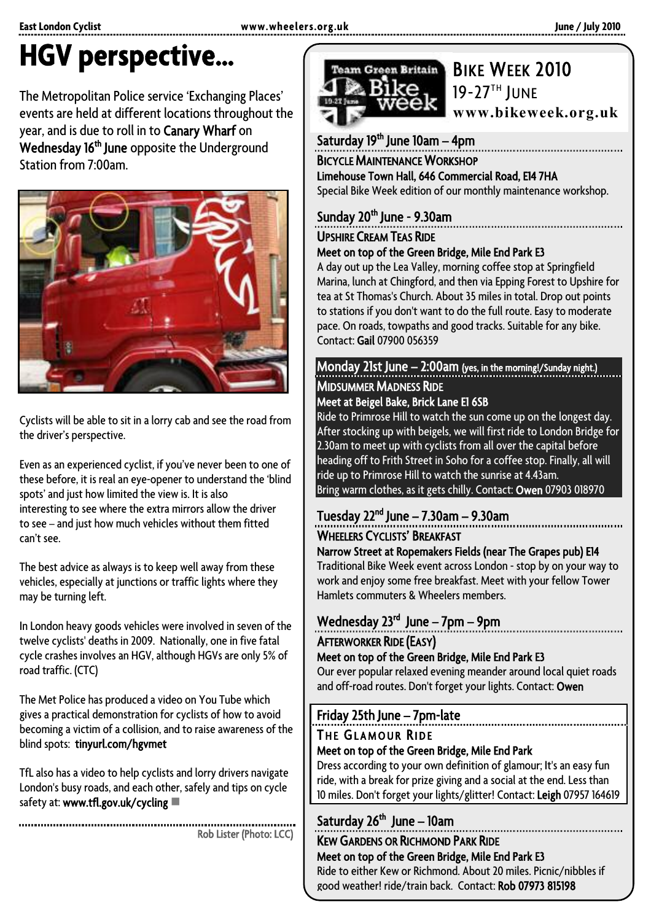# **HGV perspective…**

The Metropolitan Police service 'Exchanging Places' events are held at different locations throughout the year, and is due to roll in to Canary Wharf on Wednesday 16<sup>th</sup> June opposite the Underground Station from 7:00am.



Cyclists will be able to sit in a lorry cab and see the road from the driver's perspective.

Even as an experienced cyclist, if you've never been to one of these before, it is real an eye-opener to understand the 'blind spots' and just how limited the view is. It is also interesting to see where the extra mirrors allow the driver to see – and just how much vehicles without them fitted can't see.

The best advice as always is to keep well away from these vehicles, especially at junctions or traffic lights where they may be turning left.

In London heavy goods vehicles were involved in seven of the twelve cyclists' deaths in 2009. Nationally, one in five fatal cycle crashes involves an HGV, although HGVs are only 5% of road traffic. (CTC)

The Met Police has produced a video on You Tube which gives a practical demonstration for cyclists of how to avoid becoming a victim of a collision, and to raise awareness of the blind spots: tinyurl.com/hgvmet

TfL also has a video to help cyclists and lorry drivers navigate London's busy roads, and each other, safely and tips on cycle safety at: www.tfl.gov.uk/cycling  $\blacksquare$ 

.......................... Rob Lister (Photo: LCC)



# 19-27<sup>TH</sup> JUNE

**www.bikeweek.org.uk**

Saturday 19<sup>th</sup> June 10am - 4pm

BICYCLE MAINTENANCE WORKSHOP Limehouse Town Hall, 646 Commercial Road, E14 7HA

Special Bike Week edition of our monthly maintenance workshop.

## Sunday 20<sup>th</sup> June - 9.30am

### UPSHIRE CREAM TEAS RIDE<br>Meet on top of the Green Bridge, Mile End Park E3

A day out up the Lea Valley, morning coffee stop at Springfield Marina, lunch at Chingford, and then via Epping Forest to Upshire for tea at St Thomas's Church. About 35 miles in total. Drop out points to stations if you don't want to do the full route. Easy to moderate pace. On roads, towpaths and good tracks. Suitable for any bike. Contact: Gail 07900 056359

Monday 21st June – 2:00am (yes, in the morning!/Sunday night.) MIDSUMMER MADNESS RIDE Meet at Beigel Bake, Brick Lane E1 6SB

Ride to Primrose Hill to watch the sun come up on the longest day. After stocking up with beigels, we will first ride to London Bridge for 2.30am to meet up with cyclists from all over the capital before heading off to Frith Street in Soho for a coffee stop. Finally, all will ride up to Primrose Hill to watch the sunrise at 4.43am. Bring warm clothes, as it gets chilly. Contact: Owen 07903 018970

# Tuesday  $22<sup>nd</sup>$  June – 7.30am – 9.30am

WHEELERS CYCLISTS' BREAKFAST<br>Narrow Street at Ropemakers Fields (near The Grapes pub) E14

Traditional Bike Week event across London - stop by on your way to work and enjoy some free breakfast. Meet with your fellow Tower Hamlets commuters & Wheelers members.

### Wednesday 23rd June – 7pm – 9pm AFTERWORKER RIDE (EASY)

### Meet on top of the Green Bridge, Mile End Park E3

Our ever popular relaxed evening meander around local quiet roads and off-road routes. Don't forget your lights. Contact: Owen

### Friday 25th June – 7pm-late

### THE GLAMOUR RIDE<br>Meet on top of the Green Bridge, Mile End Park

Dress according to your own definition of glamour; It's an easy fun ride, with a break for prize giving and a social at the end. Less than 10 miles. Don't forget your lights/glitter! Contact: Leigh 07957 164619

### Saturday  $26<sup>th</sup>$  June – 10am

KEW GARDENS OR RICHMOND PARK RIDE<br>Meet on top of the Green Bridge, Mile End Park E3

Ride to either Kew or Richmond. About 20 miles. Picnic/nibbles if good weather! ride/train back. Contact: Rob 07973 815198